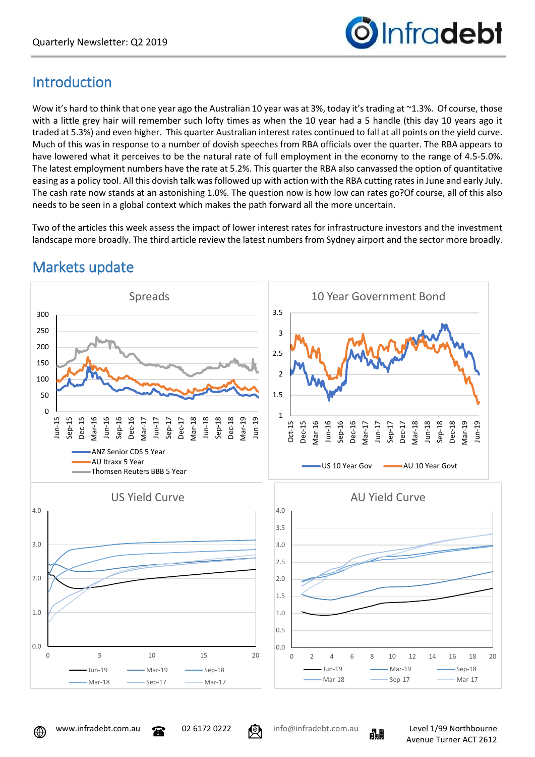

# **Introduction**

Wow it's hard to think that one year ago the Australian 10 year was at 3%, today it's trading at ~1.3%. Of course, those with a little grey hair will remember such lofty times as when the 10 year had a 5 handle (this day 10 years ago it traded at 5.3%) and even higher. This quarter Australian interest rates continued to fall at all points on the yield curve. Much of this was in response to a number of dovish speeches from RBA officials over the quarter. The RBA appears to have lowered what it perceives to be the natural rate of full employment in the economy to the range of 4.5-5.0%. The latest employment numbers have the rate at 5.2%. This quarter the RBA also canvassed the option of quantitative easing as a policy tool. All this dovish talk was followed up with action with the RBA cutting rates in June and early July. The cash rate now stands at an astonishing 1.0%. The question now is how low can rates go?Of course, all of this also needs to be seen in a global context which makes the path forward all the more uncertain.

Two of the articles this week assess the impact of lower interest rates for infrastructure investors and the investment landscape more broadly. The third article review the latest numbers from Sydney airport and the sector more broadly.



# Markets update





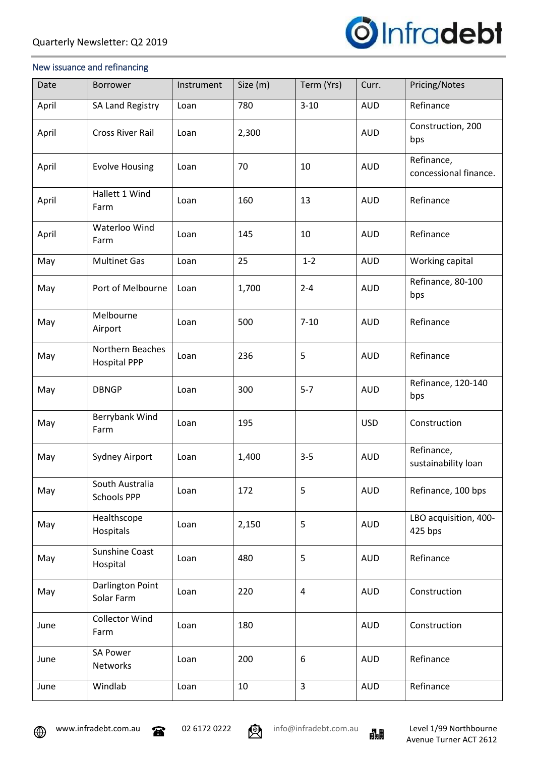

#### New issuance and refinancing

| Date  | <b>Borrower</b>                         | Instrument | Size (m) | Term (Yrs)     | Curr.      | Pricing/Notes                       |
|-------|-----------------------------------------|------------|----------|----------------|------------|-------------------------------------|
| April | SA Land Registry                        | Loan       | 780      | $3 - 10$       | <b>AUD</b> | Refinance                           |
| April | <b>Cross River Rail</b>                 | Loan       | 2,300    |                | <b>AUD</b> | Construction, 200<br>bps            |
| April | <b>Evolve Housing</b>                   | Loan       | 70       | 10             | <b>AUD</b> | Refinance,<br>concessional finance. |
| April | Hallett 1 Wind<br>Farm                  | Loan       | 160      | 13             | <b>AUD</b> | Refinance                           |
| April | Waterloo Wind<br>Farm                   | Loan       | 145      | 10             | <b>AUD</b> | Refinance                           |
| May   | <b>Multinet Gas</b>                     | Loan       | 25       | $1 - 2$        | <b>AUD</b> | Working capital                     |
| May   | Port of Melbourne                       | Loan       | 1,700    | $2 - 4$        | <b>AUD</b> | Refinance, 80-100<br>bps            |
| May   | Melbourne<br>Airport                    | Loan       | 500      | $7 - 10$       | <b>AUD</b> | Refinance                           |
| May   | Northern Beaches<br><b>Hospital PPP</b> | Loan       | 236      | 5              | <b>AUD</b> | Refinance                           |
| May   | <b>DBNGP</b>                            | Loan       | 300      | $5 - 7$        | <b>AUD</b> | Refinance, 120-140<br>bps           |
| May   | Berrybank Wind<br>Farm                  | Loan       | 195      |                | <b>USD</b> | Construction                        |
| May   | Sydney Airport                          | Loan       | 1,400    | $3 - 5$        | <b>AUD</b> | Refinance,<br>sustainability loan   |
| May   | South Australia<br><b>Schools PPP</b>   | Loan       | 172      | 5              | <b>AUD</b> | Refinance, 100 bps                  |
| May   | Healthscope<br>Hospitals                | Loan       | 2,150    | 5              | <b>AUD</b> | LBO acquisition, 400-<br>425 bps    |
| May   | <b>Sunshine Coast</b><br>Hospital       | Loan       | 480      | 5              | <b>AUD</b> | Refinance                           |
| May   | Darlington Point<br>Solar Farm          | Loan       | 220      | $\overline{4}$ | <b>AUD</b> | Construction                        |
| June  | <b>Collector Wind</b><br>Farm           | Loan       | 180      |                | <b>AUD</b> | Construction                        |
| June  | <b>SA Power</b><br>Networks             | Loan       | 200      | 6              | <b>AUD</b> | Refinance                           |
| June  | Windlab                                 | Loan       | 10       | 3              | <b>AUD</b> | Refinance                           |





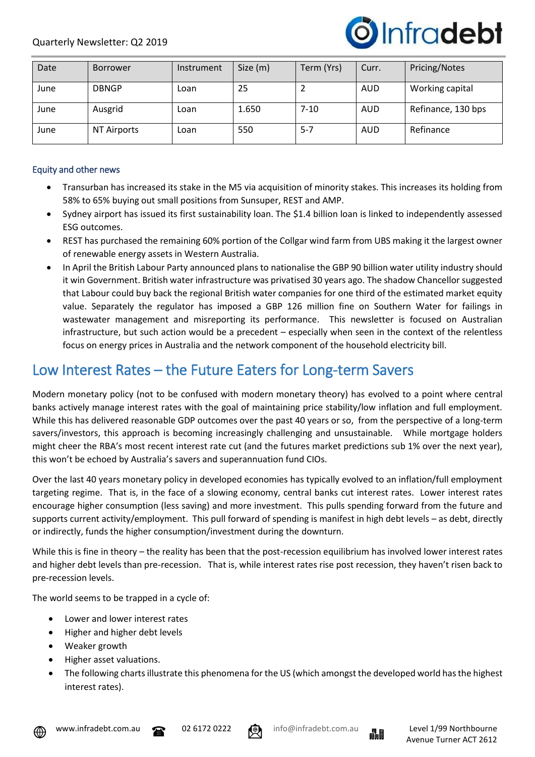

| Date | <b>Borrower</b>    | Instrument | Size (m) | Term (Yrs) | Curr. | Pricing/Notes      |
|------|--------------------|------------|----------|------------|-------|--------------------|
| June | <b>DBNGP</b>       | Loan       | 25       |            | AUD   | Working capital    |
| June | Ausgrid            | Loan       | 1.650    | 7-10       | AUD   | Refinance, 130 bps |
| June | <b>NT Airports</b> | Loan       | 550      | $5 - 7$    | AUD   | Refinance          |

## Equity and other news

- Transurban has increased its stake in the M5 via acquisition of minority stakes. This increases its holding from 58% to 65% buying out small positions from Sunsuper, REST and AMP.
- Sydney airport has issued its first sustainability loan. The \$1.4 billion loan is linked to independently assessed ESG outcomes.
- REST has purchased the remaining 60% portion of the Collgar wind farm from UBS making it the largest owner of renewable energy assets in Western Australia.
- In April the British Labour Party announced plans to nationalise the GBP 90 billion water utility industry should it win Government. British water infrastructure was privatised 30 years ago. The shadow Chancellor suggested that Labour could buy back the regional British water companies for one third of the estimated market equity value. Separately the regulator has imposed a GBP 126 million fine on Southern Water for failings in wastewater management and misreporting its performance. This newsletter is focused on Australian infrastructure, but such action would be a precedent – especially when seen in the context of the relentless focus on energy prices in Australia and the network component of the household electricity bill.

## Low Interest Rates – the Future Eaters for Long-term Savers

Modern monetary policy (not to be confused with modern monetary theory) has evolved to a point where central banks actively manage interest rates with the goal of maintaining price stability/low inflation and full employment. While this has delivered reasonable GDP outcomes over the past 40 years or so, from the perspective of a long-term savers/investors, this approach is becoming increasingly challenging and unsustainable. While mortgage holders might cheer the RBA's most recent interest rate cut (and the futures market predictions sub 1% over the next year), this won't be echoed by Australia's savers and superannuation fund CIOs.

Over the last 40 years monetary policy in developed economies has typically evolved to an inflation/full employment targeting regime. That is, in the face of a slowing economy, central banks cut interest rates. Lower interest rates encourage higher consumption (less saving) and more investment. This pulls spending forward from the future and supports current activity/employment. This pull forward of spending is manifest in high debt levels – as debt, directly or indirectly, funds the higher consumption/investment during the downturn.

While this is fine in theory – the reality has been that the post-recession equilibrium has involved lower interest rates and higher debt levels than pre-recession. That is, while interest rates rise post recession, they haven't risen back to pre-recession levels.

The world seems to be trapped in a cycle of:

- Lower and lower interest rates
- Higher and higher debt levels
- Weaker growth
- Higher asset valuations.
- The following charts illustrate this phenomena for the US (which amongst the developed world has the highest interest rates).





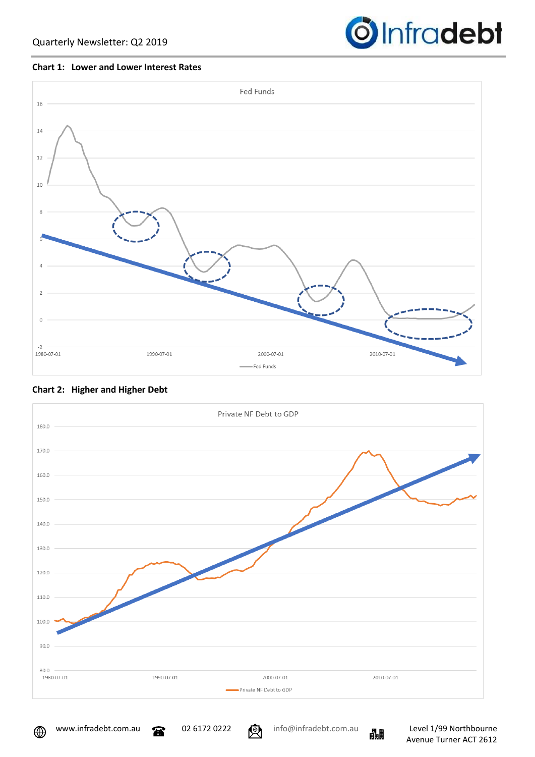

### **Chart 1: Lower and Lower Interest Rates**





## **Chart 2: Higher and Higher Debt**

⊕

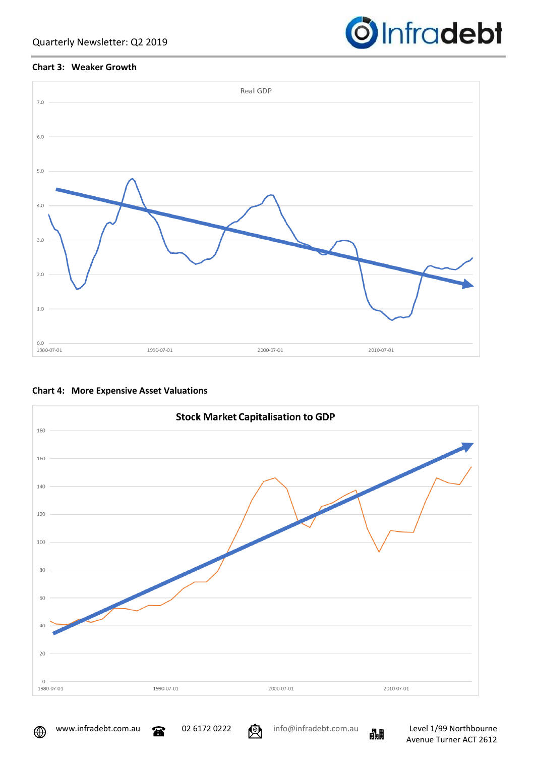

## **Chart 3: Weaker Growth**







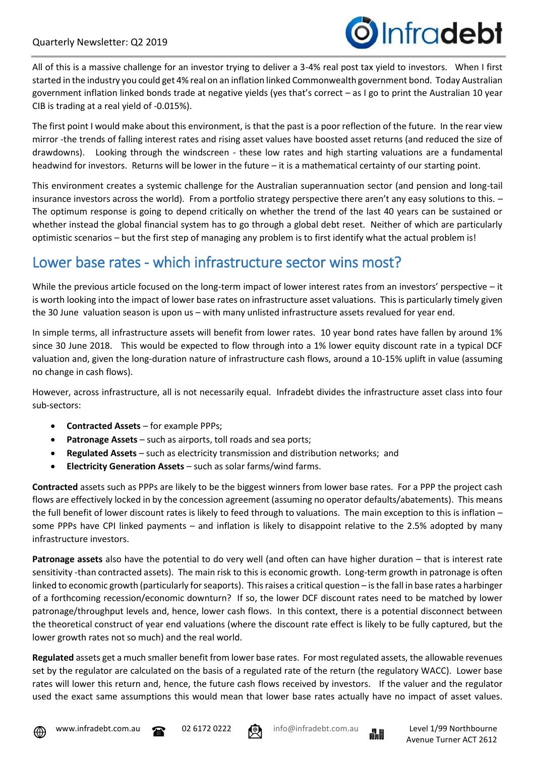All of this is a massive challenge for an investor trying to deliver a 3-4% real post tax yield to investors. When I first started in the industry you could get 4% real on an inflation linked Commonwealth government bond. Today Australian government inflation linked bonds trade at negative yields (yes that's correct – as I go to print the Australian 10 year CIB is trading at a real yield of -0.015%).

The first point I would make about this environment, is that the past is a poor reflection of the future. In the rear view mirror -the trends of falling interest rates and rising asset values have boosted asset returns (and reduced the size of drawdowns). Looking through the windscreen - these low rates and high starting valuations are a fundamental headwind for investors. Returns will be lower in the future – it is a mathematical certainty of our starting point.

This environment creates a systemic challenge for the Australian superannuation sector (and pension and long-tail insurance investors across the world). From a portfolio strategy perspective there aren't any easy solutions to this. – The optimum response is going to depend critically on whether the trend of the last 40 years can be sustained or whether instead the global financial system has to go through a global debt reset. Neither of which are particularly optimistic scenarios – but the first step of managing any problem is to first identify what the actual problem is!

## Lower base rates - which infrastructure sector wins most?

While the previous article focused on the long-term impact of lower interest rates from an investors' perspective – it is worth looking into the impact of lower base rates on infrastructure asset valuations. This is particularly timely given the 30 June valuation season is upon us – with many unlisted infrastructure assets revalued for year end.

In simple terms, all infrastructure assets will benefit from lower rates. 10 year bond rates have fallen by around 1% since 30 June 2018. This would be expected to flow through into a 1% lower equity discount rate in a typical DCF valuation and, given the long-duration nature of infrastructure cash flows, around a 10-15% uplift in value (assuming no change in cash flows).

However, across infrastructure, all is not necessarily equal. Infradebt divides the infrastructure asset class into four sub-sectors:

- **Contracted Assets** for example PPPs;
- **Patronage Assets** such as airports, toll roads and sea ports;
- **Regulated Assets** such as electricity transmission and distribution networks; and
- **Electricity Generation Assets** such as solar farms/wind farms.

**Contracted** assets such as PPPs are likely to be the biggest winners from lower base rates. For a PPP the project cash flows are effectively locked in by the concession agreement (assuming no operator defaults/abatements). This means the full benefit of lower discount rates is likely to feed through to valuations. The main exception to this is inflation some PPPs have CPI linked payments – and inflation is likely to disappoint relative to the 2.5% adopted by many infrastructure investors.

**Patronage assets** also have the potential to do very well (and often can have higher duration – that is interest rate sensitivity -than contracted assets). The main risk to this is economic growth. Long-term growth in patronage is often linked to economic growth (particularly for seaports). This raises a critical question – is the fall in base rates a harbinger of a forthcoming recession/economic downturn? If so, the lower DCF discount rates need to be matched by lower patronage/throughput levels and, hence, lower cash flows. In this context, there is a potential disconnect between the theoretical construct of year end valuations (where the discount rate effect is likely to be fully captured, but the lower growth rates not so much) and the real world.

**Regulated** assets get a much smaller benefit from lower base rates. For most regulated assets, the allowable revenues set by the regulator are calculated on the basis of a regulated rate of the return (the regulatory WACC). Lower base rates will lower this return and, hence, the future cash flows received by investors. If the valuer and the regulator used the exact same assumptions this would mean that lower base rates actually have no impact of asset values.







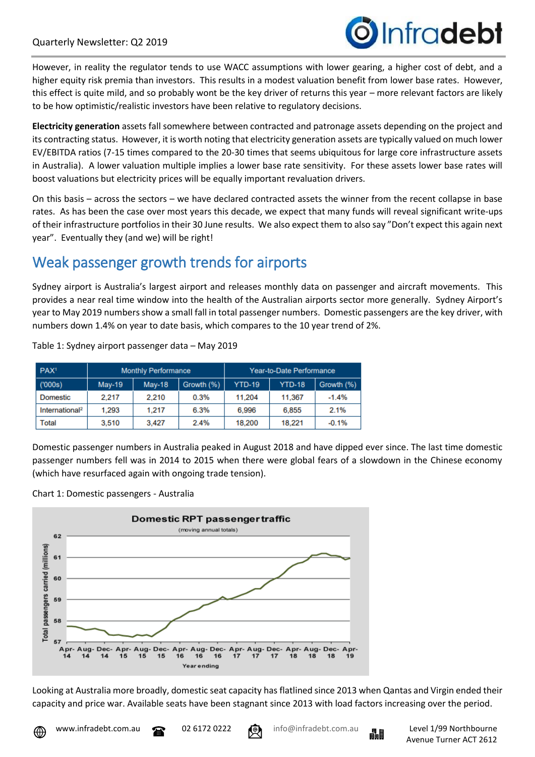

However, in reality the regulator tends to use WACC assumptions with lower gearing, a higher cost of debt, and a higher equity risk premia than investors. This results in a modest valuation benefit from lower base rates. However, this effect is quite mild, and so probably wont be the key driver of returns this year – more relevant factors are likely to be how optimistic/realistic investors have been relative to regulatory decisions.

**Electricity generation** assets fall somewhere between contracted and patronage assets depending on the project and its contracting status. However, it is worth noting that electricity generation assets are typically valued on much lower EV/EBITDA ratios (7-15 times compared to the 20-30 times that seems ubiquitous for large core infrastructure assets in Australia). A lower valuation multiple implies a lower base rate sensitivity. For these assets lower base rates will boost valuations but electricity prices will be equally important revaluation drivers.

On this basis – across the sectors – we have declared contracted assets the winner from the recent collapse in base rates. As has been the case over most years this decade, we expect that many funds will reveal significant write-ups of their infrastructure portfolios in their 30 June results. We also expect them to also say "Don't expect this again next year". Eventually they (and we) will be right!

# Weak passenger growth trends for airports

Sydney airport is Australia's largest airport and releases monthly data on passenger and aircraft movements. This provides a near real time window into the health of the Australian airports sector more generally. Sydney Airport's year to May 2019 numbers show a small fall in total passenger numbers. Domestic passengers are the key driver, with numbers down 1.4% on year to date basis, which compares to the 10 year trend of 2%.

| PAX <sup>1</sup>           | <b>Monthly Performance</b> |          |            | Year-to-Date Performance |               |            |
|----------------------------|----------------------------|----------|------------|--------------------------|---------------|------------|
| (000s)                     | $May-19$                   | $May-18$ | Growth (%) | <b>YTD-19</b>            | <b>YTD-18</b> | Growth (%) |
| Domestic                   | 2.217                      | 2.210    | 0.3%       | 11.204                   | 11,367        | $-1.4%$    |
| International <sup>2</sup> | 1,293                      | 1.217    | 6.3%       | 6,996                    | 6,855         | 2.1%       |
| Total                      | 3,510                      | 3.427    | 2.4%       | 18,200                   | 18,221        | $-0.1%$    |

Table 1: Sydney airport passenger data – May 2019

Domestic passenger numbers in Australia peaked in August 2018 and have dipped ever since. The last time domestic passenger numbers fell was in 2014 to 2015 when there were global fears of a slowdown in the Chinese economy (which have resurfaced again with ongoing trade tension).





Looking at Australia more broadly, domestic seat capacity has flatlined since 2013 when Qantas and Virgin ended their capacity and price war. Available seats have been stagnant since 2013 with load factors increasing over the period.



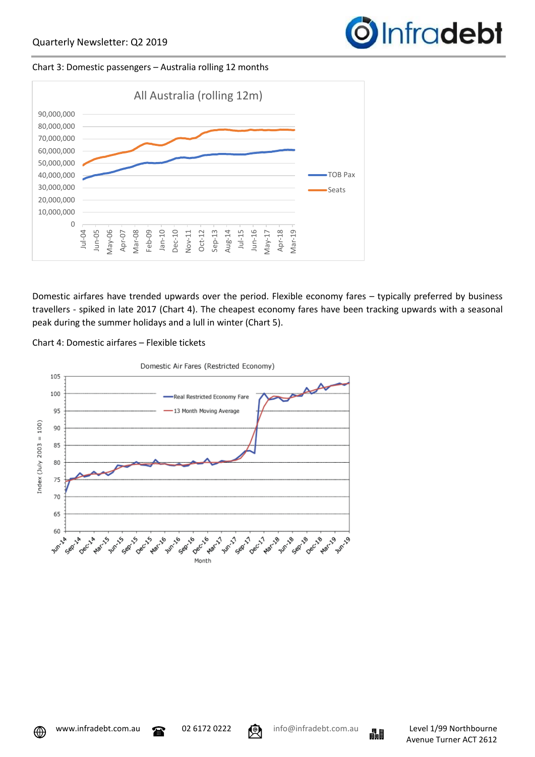

#### Chart 3: Domestic passengers – Australia rolling 12 months



Domestic airfares have trended upwards over the period. Flexible economy fares – typically preferred by business travellers - spiked in late 2017 (Chart 4). The cheapest economy fares have been tracking upwards with a seasonal peak during the summer holidays and a lull in winter (Chart 5).





⊕